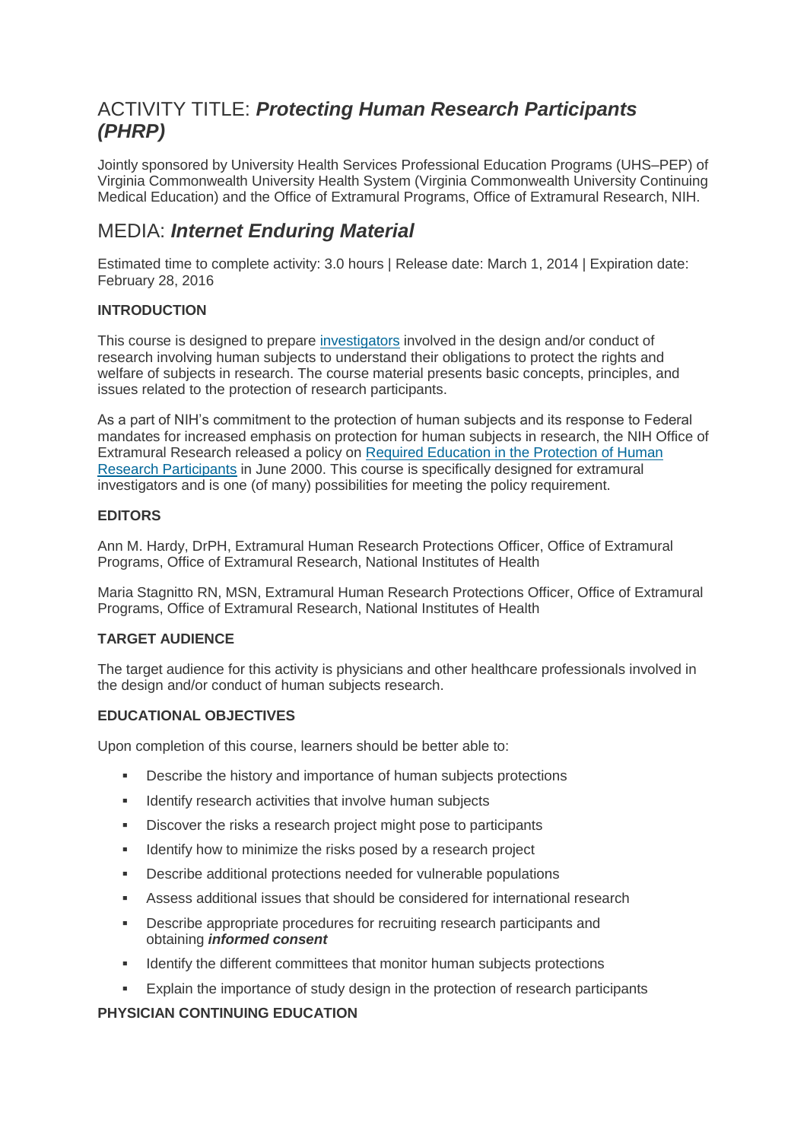# ACTIVITY TITLE: *Protecting Human Research Participants (PHRP)*

Jointly sponsored by University Health Services Professional Education Programs (UHS–PEP) of Virginia Commonwealth University Health System (Virginia Commonwealth University Continuing Medical Education) and the Office of Extramural Programs, Office of Extramural Research, NIH.

# MEDIA: *Internet Enduring Material*

Estimated time to complete activity: 3.0 hours | Release date: March 1, 2014 | Expiration date: February 28, 2016

# **INTRODUCTION**

This course is designed to prepare [investigators](http://phrp.nihtraining.com/glossary.php#investigator) involved in the design and/or conduct of research involving human subjects to understand their obligations to protect the rights and welfare of subjects in research. The course material presents basic concepts, principles, and issues related to the protection of research participants.

As a part of NIH's commitment to the protection of human subjects and its response to Federal mandates for increased emphasis on protection for human subjects in research, the NIH Office of Extramural Research released a policy on [Required Education in the Protection of Human](http://phrp.nihtraining.com/users/register.php)  [Research Participants](http://phrp.nihtraining.com/users/register.php) in June 2000. This course is specifically designed for extramural investigators and is one (of many) possibilities for meeting the policy requirement.

## **EDITORS**

Ann M. Hardy, DrPH, Extramural Human Research Protections Officer, Office of Extramural Programs, Office of Extramural Research, National Institutes of Health

Maria Stagnitto RN, MSN, Extramural Human Research Protections Officer, Office of Extramural Programs, Office of Extramural Research, National Institutes of Health

## **TARGET AUDIENCE**

The target audience for this activity is physicians and other healthcare professionals involved in the design and/or conduct of human subjects research.

## **EDUCATIONAL OBJECTIVES**

Upon completion of this course, learners should be better able to:

- Describe the history and importance of human subjects protections
- **IDENTIFY RESPARE IS A LIGAN IN A LIGAN IN A LIGAN IS A LIGAN IS A LIGAN IS A LIGAN IS A LIGAN IS A LIGAN IS A LIGAN IS A LIGAN IS A LIGAN IS A LIGAN IS A LIGAN IS A LIGAN IS A LIGAN IS A LIGAN IS A LIGAN IS A LIGAN IS A L**
- Discover the risks a research project might pose to participants
- **IDENTIFY** how to minimize the risks posed by a research project
- Describe additional protections needed for vulnerable populations
- Assess additional issues that should be considered for international research
- Describe appropriate procedures for recruiting research participants and obtaining *informed consent*
- **IDENTIFY IDENTIFY IDENTIFY THE UPS IDENTIFY ATTACK IN A LOCAL THE UPS IDENTIFY IDENTIFY IDENTIFY IDENTIFY**
- Explain the importance of study design in the protection of research participants

## **PHYSICIAN CONTINUING EDUCATION**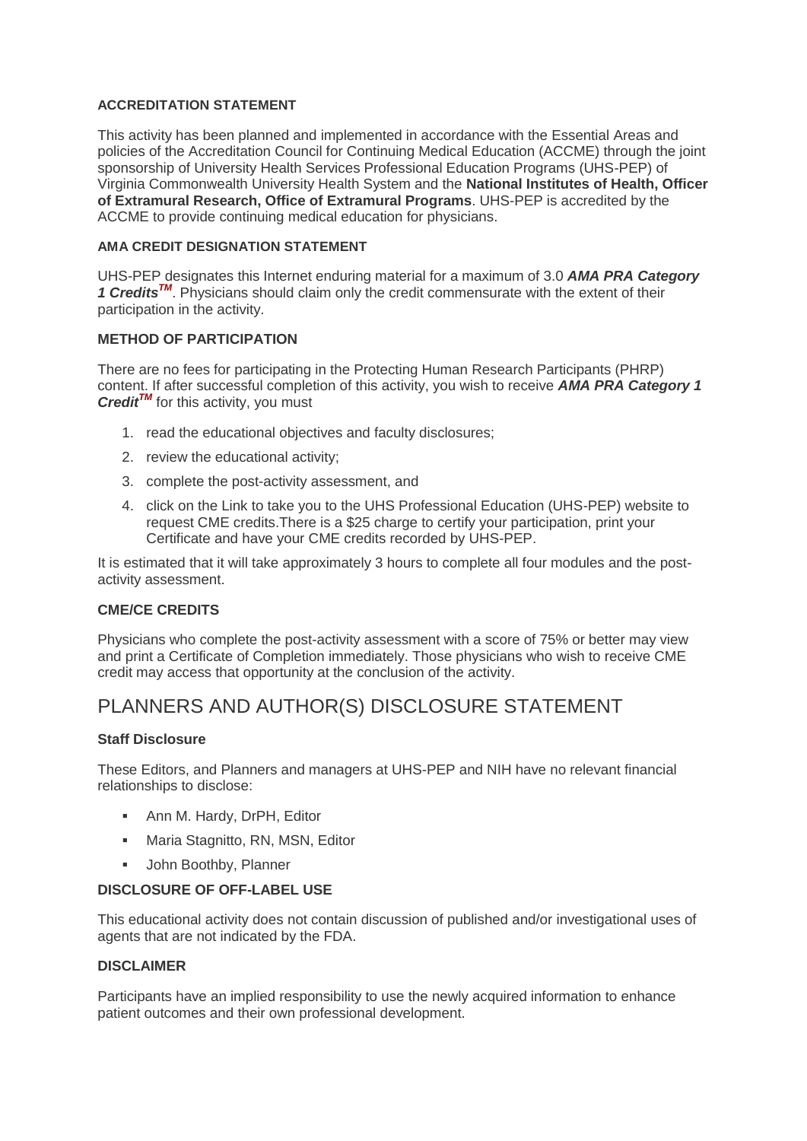### **ACCREDITATION STATEMENT**

This activity has been planned and implemented in accordance with the Essential Areas and policies of the Accreditation Council for Continuing Medical Education (ACCME) through the joint sponsorship of University Health Services Professional Education Programs (UHS-PEP) of Virginia Commonwealth University Health System and the **National Institutes of Health, Officer of Extramural Research, Office of Extramural Programs**. UHS-PEP is accredited by the ACCME to provide continuing medical education for physicians.

### **AMA CREDIT DESIGNATION STATEMENT**

UHS-PEP designates this Internet enduring material for a maximum of 3.0 *AMA PRA Category*  1 Credits<sup>TM</sup>. Physicians should claim only the credit commensurate with the extent of their participation in the activity.

## **METHOD OF PARTICIPATION**

There are no fees for participating in the Protecting Human Research Participants (PHRP) content. If after successful completion of this activity, you wish to receive *AMA PRA Category 1 Credit<sup>TM</sup>* for this activity, you must

- 1. read the educational objectives and faculty disclosures;
- 2. review the educational activity;
- 3. complete the post-activity assessment, and
- 4. click on the Link to take you to the UHS Professional Education (UHS-PEP) website to request CME credits.There is a \$25 charge to certify your participation, print your Certificate and have your CME credits recorded by UHS-PEP.

It is estimated that it will take approximately 3 hours to complete all four modules and the postactivity assessment.

#### **CME/CE CREDITS**

Physicians who complete the post-activity assessment with a score of 75% or better may view and print a Certificate of Completion immediately. Those physicians who wish to receive CME credit may access that opportunity at the conclusion of the activity.

# PLANNERS AND AUTHOR(S) DISCLOSURE STATEMENT

#### **Staff Disclosure**

These Editors, and Planners and managers at UHS-PEP and NIH have no relevant financial relationships to disclose:

- **-** Ann M. Hardy, DrPH, Editor
- **Maria Stagnitto, RN, MSN, Editor**
- **John Boothby, Planner**

#### **DISCLOSURE OF OFF-LABEL USE**

This educational activity does not contain discussion of published and/or investigational uses of agents that are not indicated by the FDA.

#### **DISCLAIMER**

Participants have an implied responsibility to use the newly acquired information to enhance patient outcomes and their own professional development.